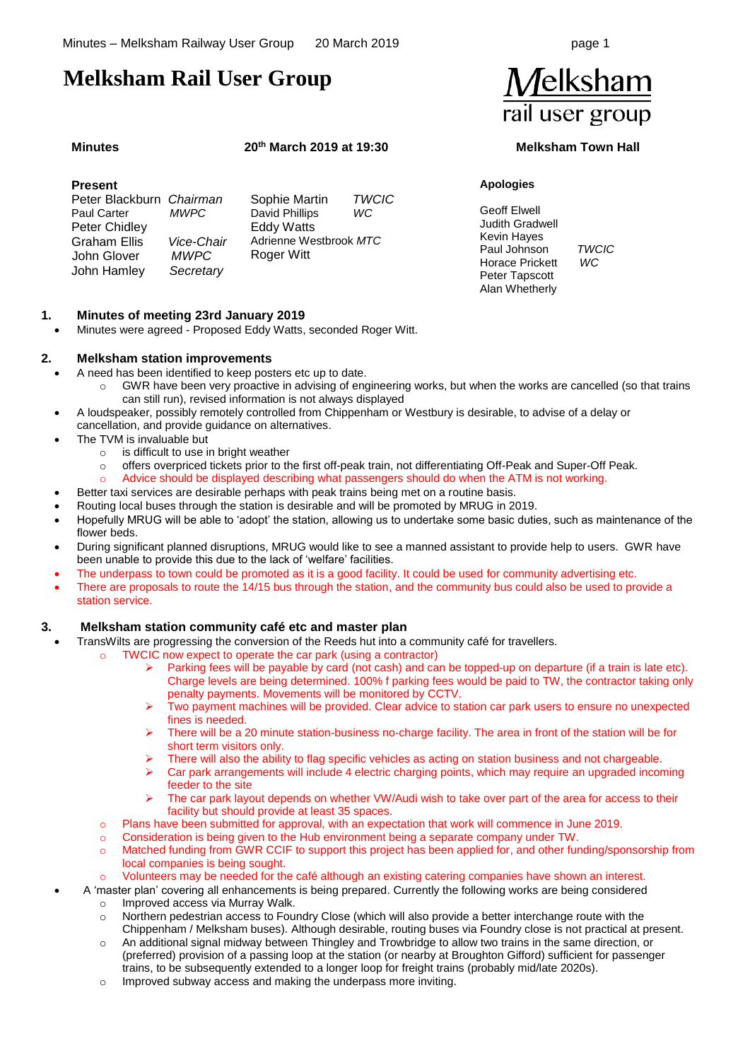## **Melksham Rail User Group**

#### **Minutes 20th March 2019 at 19:30 Melksham Town Hall**

#### **Present**  Peter Blackburn *Chairman*  **Paul Carter**  Peter Chidley Graham Ellis *Vice-Chair* John Glover John Hamley *Secretary* Sophie Martin *TWCIC* David Phillips Eddy Watts Adrienne Westbrook *MTC* Roger Witt

### **1. Minutes of meeting 23rd January 2019**

• Minutes were agreed - Proposed Eddy Watts, seconded Roger Witt.

#### **2. Melksham station improvements**

- A need has been identified to keep posters etc up to date.
	- o GWR have been very proactive in advising of engineering works, but when the works are cancelled (so that trains can still run), revised information is not always displayed
- A loudspeaker, possibly remotely controlled from Chippenham or Westbury is desirable, to advise of a delay or cancellation, and provide guidance on alternatives.
- The TVM is invaluable but
	- $\circ$  is difficult to use in bright weather
	- o offers overpriced tickets prior to the first off-peak train, not differentiating Off-Peak and Super-Off Peak.
	- Advice should be displayed describing what passengers should do when the ATM is not working.
- Better taxi services are desirable perhaps with peak trains being met on a routine basis.
- Routing local buses through the station is desirable and will be promoted by MRUG in 2019.
- Hopefully MRUG will be able to 'adopt' the station, allowing us to undertake some basic duties, such as maintenance of the flower beds.
- During significant planned disruptions, MRUG would like to see a manned assistant to provide help to users. GWR have been unable to provide this due to the lack of 'welfare' facilities.
- The underpass to town could be promoted as it is a good facility. It could be used for community advertising etc.
- There are proposals to route the 14/15 bus through the station, and the community bus could also be used to provide a station service.

#### **3. Melksham station community café etc and master plan**

- TransWilts are progressing the conversion of the Reeds hut into a community café for travellers.
	- o TWCIC now expect to operate the car park (using a contractor)
		- Parking fees will be payable by card (not cash) and can be topped-up on departure (if a train is late etc). Charge levels are being determined. 100% f parking fees would be paid to TW, the contractor taking only penalty payments. Movements will be monitored by CCTV.
		- ➢ Two payment machines will be provided. Clear advice to station car park users to ensure no unexpected fines is needed.
		- ➢ There will be a 20 minute station-business no-charge facility. The area in front of the station will be for short term visitors only.
		- There will also the ability to flag specific vehicles as acting on station business and not chargeable.
		- $\triangleright$  Car park arrangements will include 4 electric charging points, which may require an upgraded incoming feeder to the site
		- The car park layout depends on whether VW/Audi wish to take over part of the area for access to their facility but should provide at least 35 spaces.
	- o Plans have been submitted for approval, with an expectation that work will commence in June 2019.
	- $\circ$  Consideration is being given to the Hub environment being a separate company under TW.
	- o Matched funding from GWR CCIF to support this project has been applied for, and other funding/sponsorship from local companies is being sought.
		- Volunteers may be needed for the café although an existing catering companies have shown an interest.

• A 'master plan' covering all enhancements is being prepared. Currently the following works are being considered

- Improved access via Murray Walk.
- o Northern pedestrian access to Foundry Close (which will also provide a better interchange route with the Chippenham / Melksham buses). Although desirable, routing buses via Foundry close is not practical at present.
- o An additional signal midway between Thingley and Trowbridge to allow two trains in the same direction, or (preferred) provision of a passing loop at the station (or nearby at Broughton Gifford) sufficient for passenger trains, to be subsequently extended to a longer loop for freight trains (probably mid/late 2020s).
- o Improved subway access and making the underpass more inviting.

# Melksham rail user group

#### **Apologies**

- Geoff Elwell Judith Gradwell Kevin Hayes Paul Johnson *TWCIC* Horace Prickett *WC* Peter Tapscott Alan Whetherly
	-

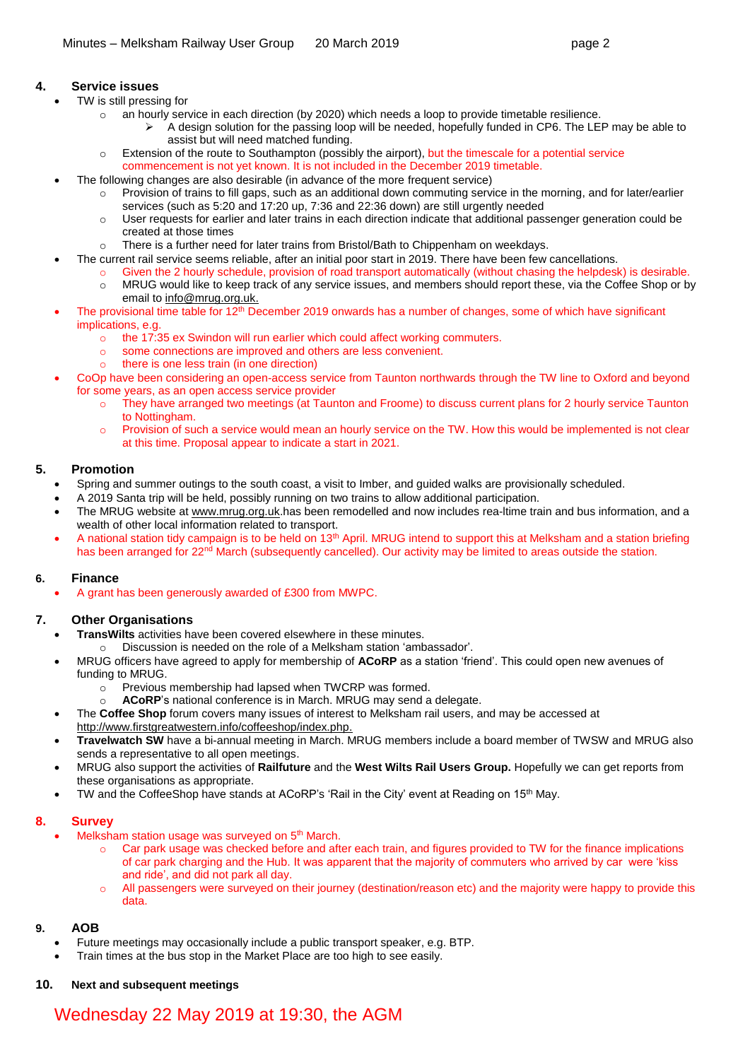### **4. Service issues**

- TW is still pressing for
	- o an hourly service in each direction (by 2020) which needs a loop to provide timetable resilience.
		- ➢ A design solution for the passing loop will be needed, hopefully funded in CP6. The LEP may be able to assist but will need matched funding.
	- o Extension of the route to Southampton (possibly the airport), but the timescale for a potential service commencement is not yet known. It is not included in the December 2019 timetable.
- The following changes are also desirable (in advance of the more frequent service)
	- Provision of trains to fill gaps, such as an additional down commuting service in the morning, and for later/earlier services (such as 5:20 and 17:20 up, 7:36 and 22:36 down) are still urgently needed
	- o User requests for earlier and later trains in each direction indicate that additional passenger generation could be created at those times
	- o There is a further need for later trains from Bristol/Bath to Chippenham on weekdays.
	- The current rail service seems reliable, after an initial poor start in 2019. There have been few cancellations.
		- o Given the 2 hourly schedule, provision of road transport automatically (without chasing the helpdesk) is desirable.
		- o MRUG would like to keep track of any service issues, and members should report these, via the Coffee Shop or by email to [info@mrug.org.uk.](mailto:info@mrug.org.uk)
	- The provisional time table for 12<sup>th</sup> December 2019 onwards has a number of changes, some of which have significant implications, e.g.
		- o the 17:35 ex Swindon will run earlier which could affect working commuters.
		- o some connections are improved and others are less convenient.
		- o there is one less train (in one direction)
- CoOp have been considering an open-access service from Taunton northwards through the TW line to Oxford and beyond for some years, as an open access service provider
	- o They have arranged two meetings (at Taunton and Froome) to discuss current plans for 2 hourly service Taunton to Nottingham.
	- Provision of such a service would mean an hourly service on the TW. How this would be implemented is not clear at this time. Proposal appear to indicate a start in 2021.

#### **5. Promotion**

- Spring and summer outings to the south coast, a visit to Imber, and guided walks are provisionally scheduled.
- A 2019 Santa trip will be held, possibly running on two trains to allow additional participation.
- The MRUG website at [www.mrug.org.uk.](http://www.mrug.org.uk/)has been remodelled and now includes rea-ltime train and bus information, and a wealth of other local information related to transport.
- A national station tidy campaign is to be held on 13<sup>th</sup> April. MRUG intend to support this at Melksham and a station briefing has been arranged for 22<sup>nd</sup> March (subsequently cancelled). Our activity may be limited to areas outside the station.

#### **6. Finance**

• A grant has been generously awarded of £300 from MWPC.

### **7. Other Organisations**

- **TransWilts** activities have been covered elsewhere in these minutes.
	- Discussion is needed on the role of a Melksham station 'ambassador'.
- MRUG officers have agreed to apply for membership of **ACoRP** as a station 'friend'. This could open new avenues of funding to MRUG.
	- o Previous membership had lapsed when TWCRP was formed.
	- o **ACoRP**'s national conference is in March. MRUG may send a delegate.
- The **Coffee Shop** forum covers many issues of interest to Melksham rail users, and may be accessed at [http://www.firstgreatwestern.info/coffeeshop/index.php.](http://www.firstgreatwestern.info/coffeeshop/index.php)
- **Travelwatch SW** have a bi-annual meeting in March. MRUG members include a board member of TWSW and MRUG also sends a representative to all open meetings.
- MRUG also support the activities of **Railfuture** and the **West Wilts Rail Users Group.** Hopefully we can get reports from these organisations as appropriate.
- TW and the CoffeeShop have stands at ACoRP's 'Rail in the City' event at Reading on 15<sup>th</sup> May.

#### **8. Survey**

- Melksham station usage was surveyed on 5<sup>th</sup> March.
	- $\circ$  Car park usage was checked before and after each train, and figures provided to TW for the finance implications of car park charging and the Hub. It was apparent that the majority of commuters who arrived by car were 'kiss and ride', and did not park all day.
	- o All passengers were surveyed on their journey (destination/reason etc) and the majority were happy to provide this data.

#### **9. AOB**

- Future meetings may occasionally include a public transport speaker, e.g. BTP.
- Train times at the bus stop in the Market Place are too high to see easily.
- **10. Next and subsequent meetings**

# Wednesday 22 May 2019 at 19:30, the AGM